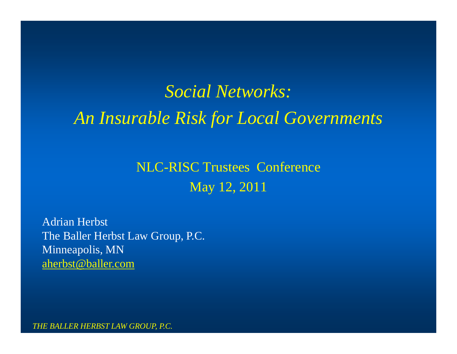## *Social Networks: An Insurable Risk for Local Governments*

NLC-RISC Trustees Conference May 12, 2011

Adrian Herbst The Baller Herbst Law Group, P.C. Minneapolis, MN aherbst@baller.com

*THE BALLER HERBST LAW GROUP, P.C.*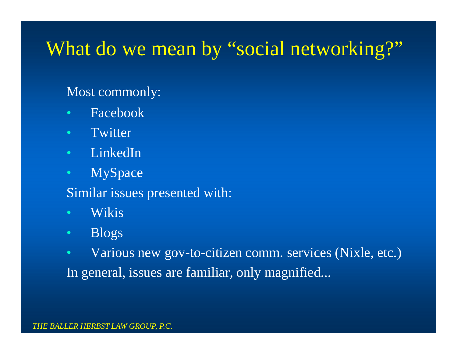## What do we mean by "social networking?"

#### Most commonly:

- Facebook
- Twitter
- LinkedIn
- MySpace
- Similar issues presented with:
- Wikis
- Blogs
- Various new gov-to-citizen comm. services (Nixle, etc.) In general, issues are familiar, only magnified...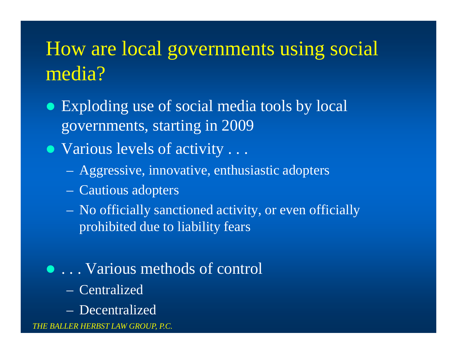## How are local governments using social media?

- Exploding use of social media tools by local governments, starting in 2009
- Various levels of activity . . .
	- Aggressive, innovative, enthusiastic adopters
	- Cautious adopters
	- No officially sanctioned activity, or even officially prohibited due to liability fears
- . . . Various methods of control
	- Centralized
	- Decentralized

*THE BALLER HERBST LAW GROUP, P.C.*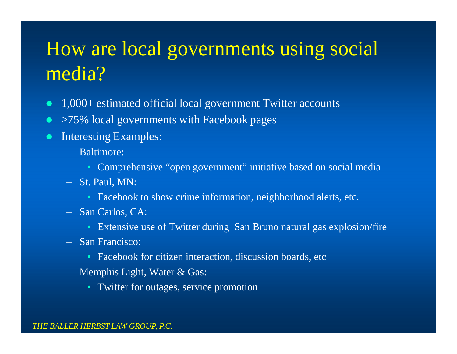# How are local governments using social media?

- 1,000+ estimated official local government Twitter accounts
- >75% local governments with Facebook pages
- Interesting Examples:
	- Baltimore:
		- Comprehensive "open government" initiative based on social media
	- St. Paul, MN:
		- Facebook to show crime information, neighborhood alerts, etc.
	- San Carlos, CA:
		- Extensive use of Twitter during San Bruno natural gas explosion/fire
	- San Francisco:
		- Facebook for citizen interaction, discussion boards, etc
	- Memphis Light, Water & Gas:
		- Twitter for outages, service promotion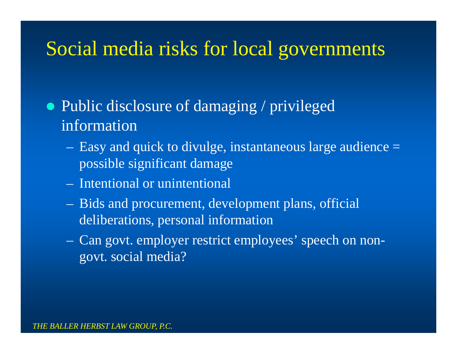• Public disclosure of damaging / privileged information

- Easy and quick to divulge, instantaneous large audience = possible significant damage
- Intentional or unintentional
- Bids and procurement, development plans, official deliberations, personal information
- Can govt. employer restrict employees' speech on nongovt. social media?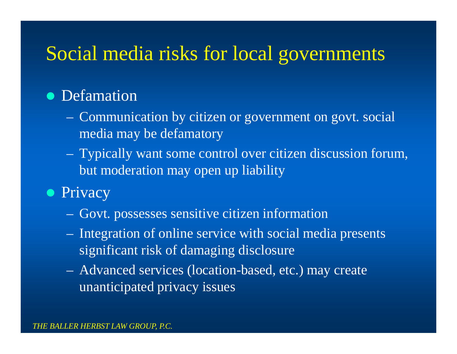#### • Defamation

- Communication by citizen or government on govt. social media may be defamatory
- Typically want some control over citizen discussion forum, but moderation may open up liability
- Privacy
	- Govt. possesses sensitive citizen information
	- Integration of online service with social media presents significant risk of damaging disclosure
	- Advanced services (location-based, etc.) may create unanticipated privacy issues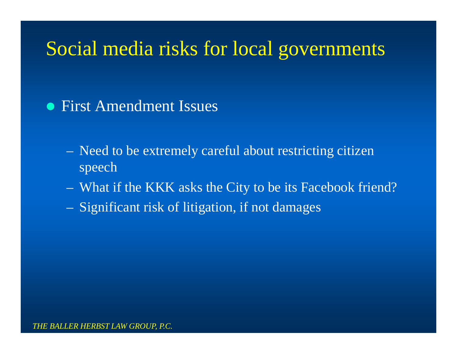• First Amendment Issues

- Need to be extremely careful about restricting citizen speech
- What if the KKK asks the City to be its Facebook friend?
- Significant risk of litigation, if not damages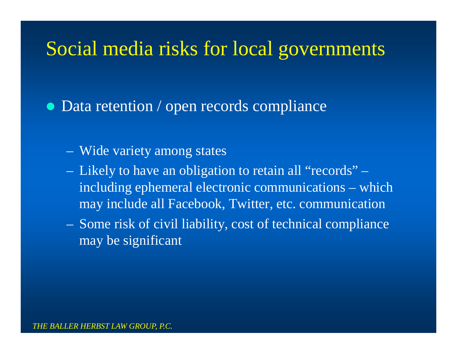• Data retention / open records compliance

- Wide variety among states
- Likely to have an obligation to retain all "records" including ephemeral electronic communications – which may include all Facebook, Twitter, etc. communication
- Some risk of civil liability, cost of technical compliance may be significant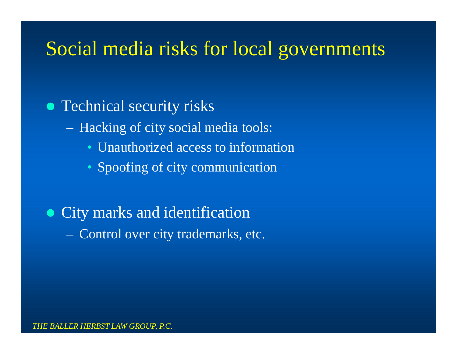#### • Technical security risks

- Hacking of city social media tools:
	- Unauthorized access to information
	- Spoofing of city communication

#### • City marks and identification – Control over city trademarks, etc.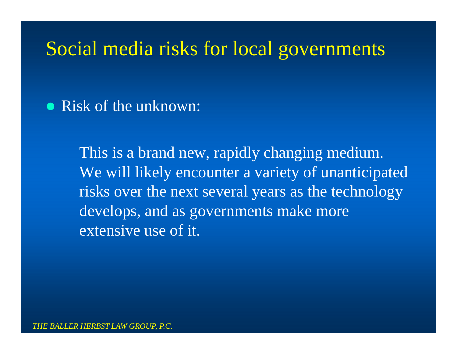• Risk of the unknown:

This is a brand new, rapidly changing medium. We will likely encounter a variety of unanticipated risks over the next several years as the technology develops, and as governments make more extensive use of it.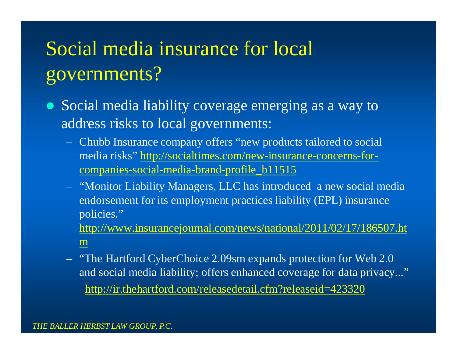# Social media insurance for local governments?

- Social media liability coverage emerging as a way to address risks to local governments:
	- Chubb Insurance company offers "new products tailored to social media risks" http://socialtimes.com/new-insurance-concerns-forcompanies-social-media-brand-profile\_b11515
	- "Monitor Liability Managers, LLC has introduced a new social media endorsement for its employment practices liability (EPL) insurance policies."

http://www.insurancejournal.com/news/national/2011/02/17/186507.ht m

– "The Hartford CyberChoice 2.09sm expands protection for Web 2.0 and social media liability; offers enhanced coverage for data privacy..." http://ir.thehartford.com/releasedetail.cfm?releaseid=423320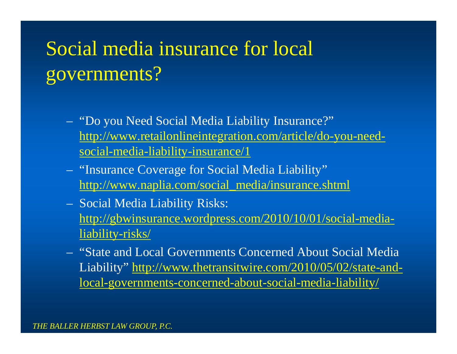# Social media insurance for local governments?

- "Do you Need Social Media Liability Insurance?" http://www.retailonlineintegration.com/article/do-you-needsocial-media-liability-insurance/1
- "Insurance Coverage for Social Media Liability" http://www.naplia.com/social\_media/insurance.shtml
- Social Media Liability Risks: http://gbwinsurance.wordpress.com/2010/10/01/social-medialiability-risks/
- "State and Local Governments Concerned About Social Media Liability" http://www.thetransitwire.com/2010/05/02/state-andlocal-governments-concerned-about-social-media-liability/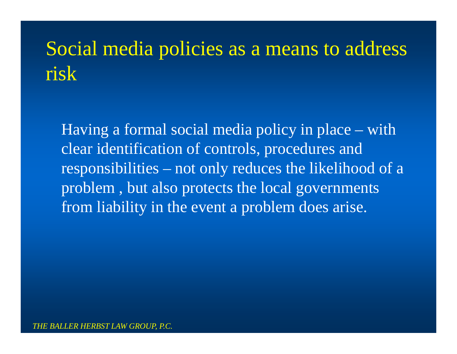# Social media policies as a means to address risk

Having a formal social media policy in place – with clear identification of controls, procedures and responsibilities – not only reduces the likelihood of a problem , but also protects the local governments from liability in the event a problem does arise.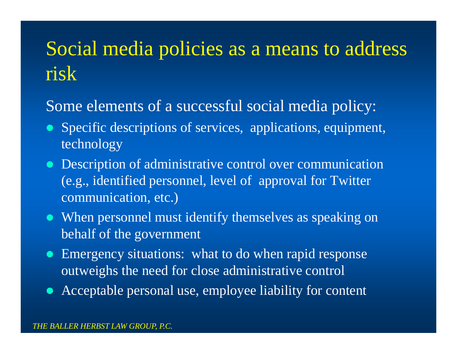## Social media policies as a means to address risk

#### Some elements of a successful social media policy:

- Specific descriptions of services, applications, equipment, technology
- **Description of administrative control over communication** (e.g., identified personnel, level of approval for Twitter communication, etc.)
- When personnel must identify themselves as speaking on behalf of the government
- Emergency situations: what to do when rapid response outweighs the need for close administrative control
- Acceptable personal use, employee liability for content